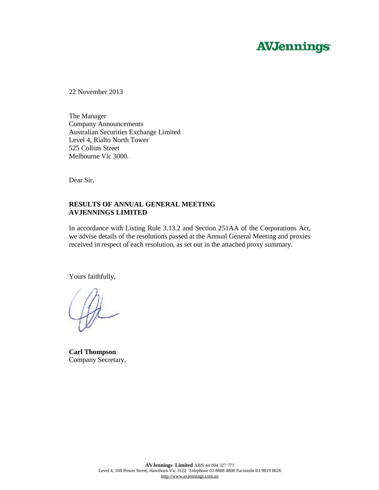# **AVJennings**

22 November 2013

The Manager Company Announcements Australian Securities Exchange Limited Level 4, Rialto North Tower 525 Collins Street Melbourne Vic 3000.

Dear Sir,

## **RESULTS OF ANNUAL GENERAL MEETING AVJENNINGS LIMITED**

In accordance with Listing Rule 3.13.2 and Section 251AA of the Corporations Act, we advise details of the resolutions passed at the Annual General Meeting and proxies received in respect of each resolution, as set out in the attached proxy summary.

Yours faithfully,

**Carl Thompson**  Company Secretary.